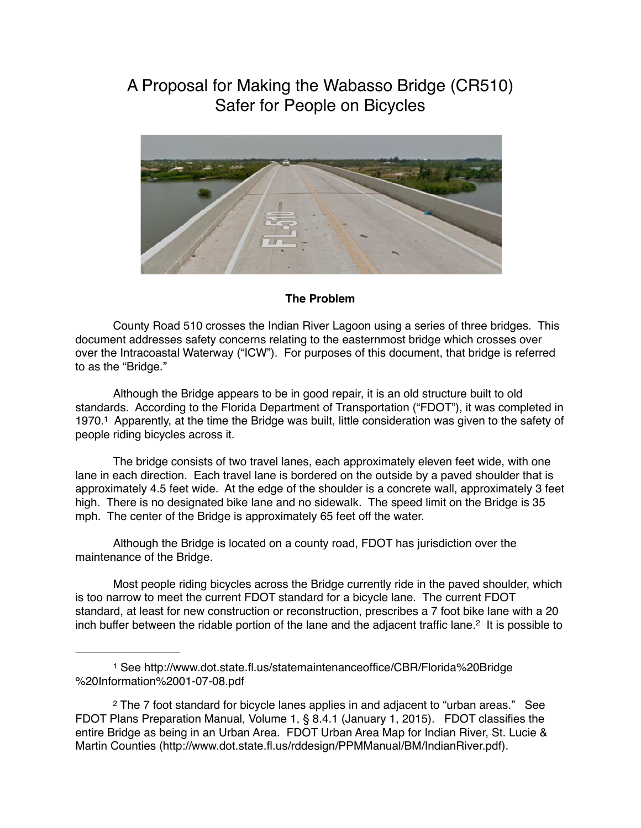# A Proposal for Making the Wabasso Bridge (CR510) Safer for People on Bicycles



## **The Problem**

County Road 510 crosses the Indian River Lagoon using a series of three bridges. This document addresses safety concerns relating to the easternmost bridge which crosses over over the Intracoastal Waterway ("ICW"). For purposes of this document, that bridge is referred to as the "Bridge."

Although the Bridge appears to be in good repair, it is an old structure built to old standards. According to the Florida Department of Transportation ("FDOT"), it was completed in 1970.<sup>1</sup> Apparently, at the time the Bridge was built, little consideration was given to the safety of people riding bicycles across it.

The bridge consists of two travel lanes, each approximately eleven feet wide, with one lane in each direction. Each travel lane is bordered on the outside by a paved shoulder that is approximately 4.5 feet wide. At the edge of the shoulder is a concrete wall, approximately 3 feet high. There is no designated bike lane and no sidewalk. The speed limit on the Bridge is 35 mph. The center of the Bridge is approximately 65 feet off the water.

Although the Bridge is located on a county road, FDOT has jurisdiction over the maintenance of the Bridge.

Most people riding bicycles across the Bridge currently ride in the paved shoulder, which is too narrow to meet the current FDOT standard for a bicycle lane. The current FDOT standard, at least for new construction or reconstruction, prescribes a 7 foot bike lane with a 20 inch buffer between the ridable portion of the lane and the adjacent traffic lane.<sup>2</sup> It is possible to

<sup>1</sup> See http://www.dot.state.fl.us/statemaintenanceoffice/CBR/Florida%20Bridge %20Information%2001-07-08.pdf

<sup>&</sup>lt;sup>2</sup> The 7 foot standard for bicycle lanes applies in and adjacent to "urban areas." See FDOT Plans Preparation Manual, Volume 1, § 8.4.1 (January 1, 2015). FDOT classifies the entire Bridge as being in an Urban Area. FDOT Urban Area Map for Indian River, St. Lucie & Martin Counties (http://www.dot.state.fl.us/rddesign/PPMManual/BM/IndianRiver.pdf).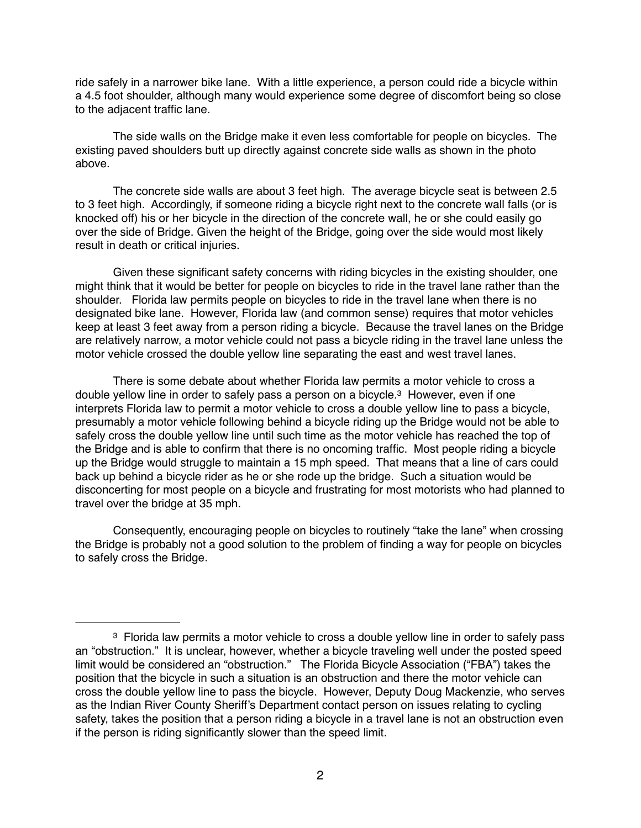ride safely in a narrower bike lane. With a little experience, a person could ride a bicycle within a 4.5 foot shoulder, although many would experience some degree of discomfort being so close to the adjacent traffic lane.

The side walls on the Bridge make it even less comfortable for people on bicycles. The existing paved shoulders butt up directly against concrete side walls as shown in the photo above.

The concrete side walls are about 3 feet high. The average bicycle seat is between 2.5 to 3 feet high. Accordingly, if someone riding a bicycle right next to the concrete wall falls (or is knocked off) his or her bicycle in the direction of the concrete wall, he or she could easily go over the side of Bridge. Given the height of the Bridge, going over the side would most likely result in death or critical injuries.

Given these significant safety concerns with riding bicycles in the existing shoulder, one might think that it would be better for people on bicycles to ride in the travel lane rather than the shoulder. Florida law permits people on bicycles to ride in the travel lane when there is no designated bike lane. However, Florida law (and common sense) requires that motor vehicles keep at least 3 feet away from a person riding a bicycle. Because the travel lanes on the Bridge are relatively narrow, a motor vehicle could not pass a bicycle riding in the travel lane unless the motor vehicle crossed the double yellow line separating the east and west travel lanes.

There is some debate about whether Florida law permits a motor vehicle to cross a double yellow line in order to safely pass a person on a bicycle.<sup>3</sup> However, even if one interprets Florida law to permit a motor vehicle to cross a double yellow line to pass a bicycle, presumably a motor vehicle following behind a bicycle riding up the Bridge would not be able to safely cross the double yellow line until such time as the motor vehicle has reached the top of the Bridge and is able to confirm that there is no oncoming traffic. Most people riding a bicycle up the Bridge would struggle to maintain a 15 mph speed. That means that a line of cars could back up behind a bicycle rider as he or she rode up the bridge. Such a situation would be disconcerting for most people on a bicycle and frustrating for most motorists who had planned to travel over the bridge at 35 mph.

Consequently, encouraging people on bicycles to routinely "take the lane" when crossing the Bridge is probably not a good solution to the problem of finding a way for people on bicycles to safely cross the Bridge.

<sup>&</sup>lt;sup>3</sup> Florida law permits a motor vehicle to cross a double yellow line in order to safely pass an "obstruction." It is unclear, however, whether a bicycle traveling well under the posted speed limit would be considered an "obstruction." The Florida Bicycle Association ("FBA") takes the position that the bicycle in such a situation is an obstruction and there the motor vehicle can cross the double yellow line to pass the bicycle. However, Deputy Doug Mackenzie, who serves as the Indian River County Sheriff's Department contact person on issues relating to cycling safety, takes the position that a person riding a bicycle in a travel lane is not an obstruction even if the person is riding significantly slower than the speed limit.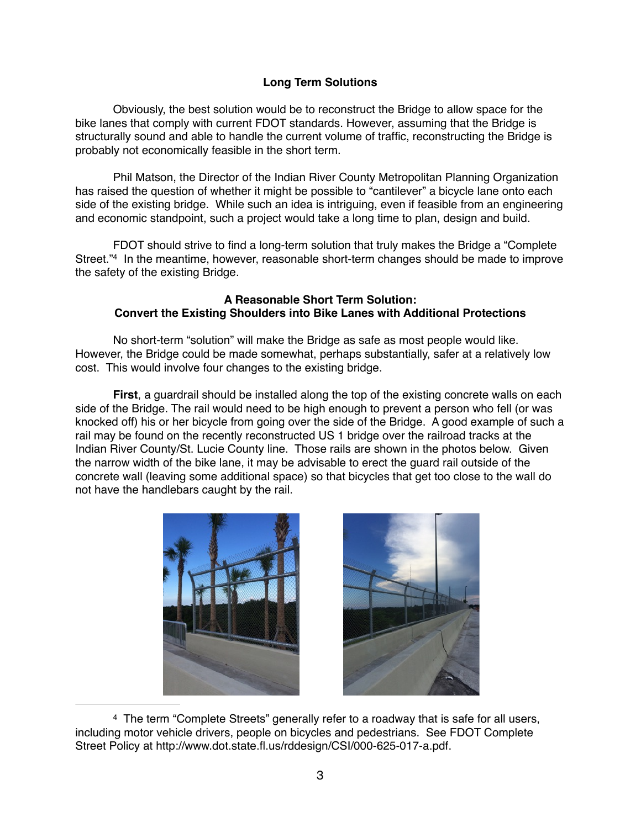### **Long Term Solutions**

Obviously, the best solution would be to reconstruct the Bridge to allow space for the bike lanes that comply with current FDOT standards. However, assuming that the Bridge is structurally sound and able to handle the current volume of traffic, reconstructing the Bridge is probably not economically feasible in the short term.

Phil Matson, the Director of the Indian River County Metropolitan Planning Organization has raised the question of whether it might be possible to "cantilever" a bicycle lane onto each side of the existing bridge. While such an idea is intriguing, even if feasible from an engineering and economic standpoint, such a project would take a long time to plan, design and build.

FDOT should strive to find a long-term solution that truly makes the Bridge a "Complete Street."<sup>4</sup> In the meantime, however, reasonable short-term changes should be made to improve the safety of the existing Bridge.

### **A Reasonable Short Term Solution: Convert the Existing Shoulders into Bike Lanes with Additional Protections**

No short-term "solution" will make the Bridge as safe as most people would like. However, the Bridge could be made somewhat, perhaps substantially, safer at a relatively low cost. This would involve four changes to the existing bridge.

**First**, a guardrail should be installed along the top of the existing concrete walls on each side of the Bridge. The rail would need to be high enough to prevent a person who fell (or was knocked off) his or her bicycle from going over the side of the Bridge. A good example of such a rail may be found on the recently reconstructed US 1 bridge over the railroad tracks at the Indian River County/St. Lucie County line. Those rails are shown in the photos below. Given the narrow width of the bike lane, it may be advisable to erect the guard rail outside of the concrete wall (leaving some additional space) so that bicycles that get too close to the wall do not have the handlebars caught by the rail.





<sup>4</sup> The term "Complete Streets" generally refer to a roadway that is safe for all users, including motor vehicle drivers, people on bicycles and pedestrians. See FDOT Complete Street Policy at http://www.dot.state.fl.us/rddesign/CSI/000-625-017-a.pdf.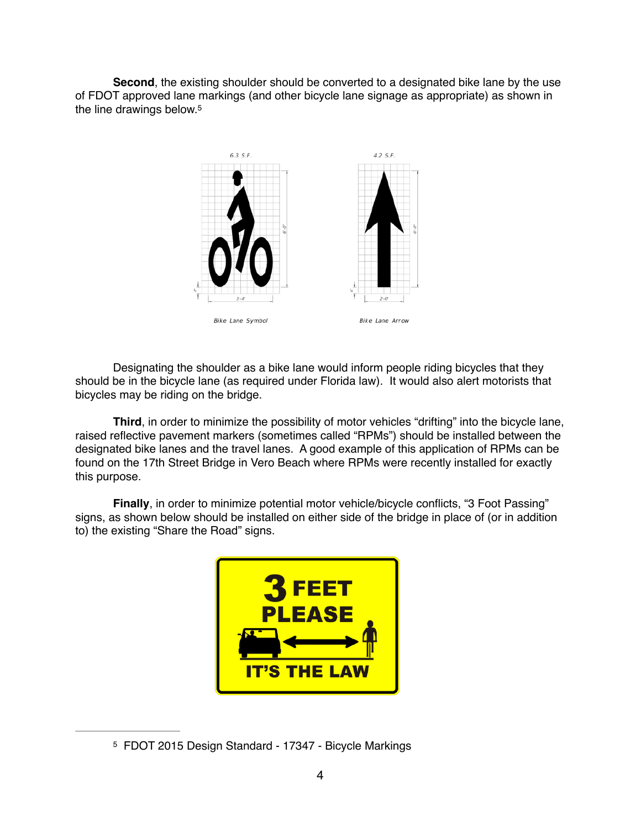**Second**, the existing shoulder should be converted to a designated bike lane by the use of FDOT approved lane markings (and other bicycle lane signage as appropriate) as shown in the line drawings below.5



Designating the shoulder as a bike lane would inform people riding bicycles that they should be in the bicycle lane (as required under Florida law). It would also alert motorists that bicycles may be riding on the bridge.

**Third**, in order to minimize the possibility of motor vehicles "drifting" into the bicycle lane, raised reflective pavement markers (sometimes called "RPMs") should be installed between the designated bike lanes and the travel lanes. A good example of this application of RPMs can be found on the 17th Street Bridge in Vero Beach where RPMs were recently installed for exactly this purpose.

**Finally**, in order to minimize potential motor vehicle/bicycle conflicts, "3 Foot Passing" signs, as shown below should be installed on either side of the bridge in place of (or in addition to) the existing "Share the Road" signs.



<sup>&</sup>lt;sup>5</sup> FDOT 2015 Design Standard - 17347 - Bicycle Markings